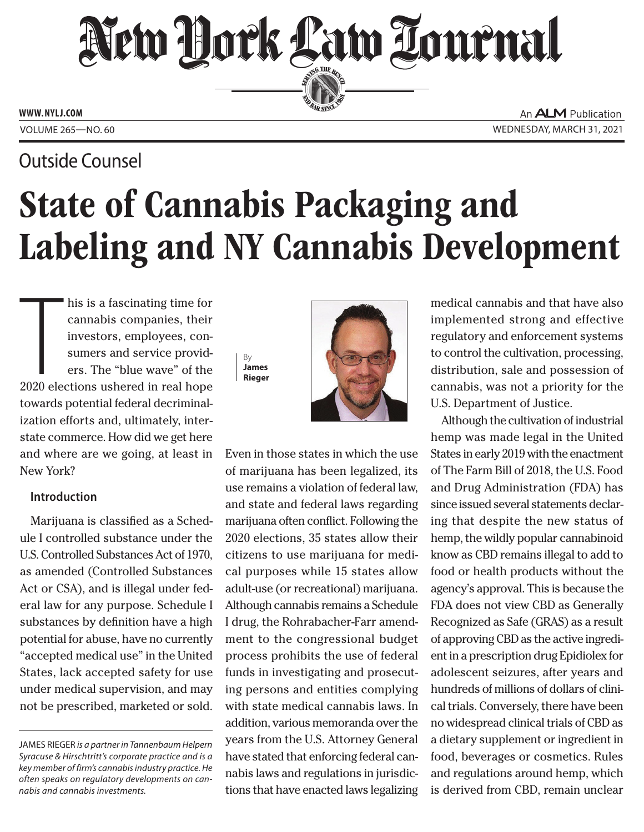## New Hork Law Lournal SERVING THE BEN

**ED BAR SINCE 188** 

**WWW. NYLJ.COM**

### Outside Counsel

An **ALM** Publication VOLUME 265—NO. 60 WEDNESDAY, MARCH 31, 2021

# State of Cannabis Packaging and Labeling and NY Cannabis Development

his is a fascinating time for<br>cannabis companies, their<br>investors, employees, con-<br>sumers and service provid-<br>ers. The "blue wave" of the<br>2020 elections ushered in real hope his is a fascinating time for cannabis companies, their investors, employees, consumers and service providers. The "blue wave" of the towards potential federal decriminalization efforts and, ultimately, interstate commerce. How did we get here and where are we going, at least in New York?

#### **Introduction**

Marijuana is classified as a Schedule I controlled substance under the U.S. Controlled Substances Act of 1970, as amended (Controlled Substances Act or CSA), and is illegal under federal law for any purpose. Schedule I substances by definition have a high potential for abuse, have no currently "accepted medical use" in the United States, lack accepted safety for use under medical supervision, and may not be prescribed, marketed or sold.





Even in those states in which the use of marijuana has been legalized, its use remains a violation of federal law, and state and federal laws regarding marijuana often conflict. Following the 2020 elections, 35 states allow their citizens to use marijuana for medical purposes while 15 states allow adult-use (or recreational) marijuana. Although cannabis remains a Schedule I drug, the Rohrabacher-Farr amendment to the congressional budget process prohibits the use of federal funds in investigating and prosecuting persons and entities complying with state medical cannabis laws. In addition, various memoranda over the years from the U.S. Attorney General have stated that enforcing federal cannabis laws and regulations in jurisdictions that have enacted laws legalizing medical cannabis and that have also implemented strong and effective regulatory and enforcement systems to control the cultivation, processing, distribution, sale and possession of cannabis, was not a priority for the U.S. Department of Justice.

Although the cultivation of industrial hemp was made legal in the United States in early 2019 with the enactment of The Farm Bill of 2018, the U.S. Food and Drug Administration (FDA) has since issued several statements declaring that despite the new status of hemp, the wildly popular cannabinoid know as CBD remains illegal to add to food or health products without the agency's approval. This is because the FDA does not view CBD as Generally Recognized as Safe (GRAS) as a result of approving CBD as the active ingredient in a prescription drug Epidiolex for adolescent seizures, after years and hundreds of millions of dollars of clinical trials. Conversely, there have been no widespread clinical trials of CBD as a dietary supplement or ingredient in food, beverages or cosmetics. Rules and regulations around hemp, which is derived from CBD, remain unclear

JAMES RIEGER *is a partner in Tannenbaum Helpern [Syracuse & Hirschtritt's corporate practice and is a](ncanter@McLaughlinstern.com)  key member of firm's cannabis industry practice. He often speaks on regulatory developments on cannabis and cannabis investments.*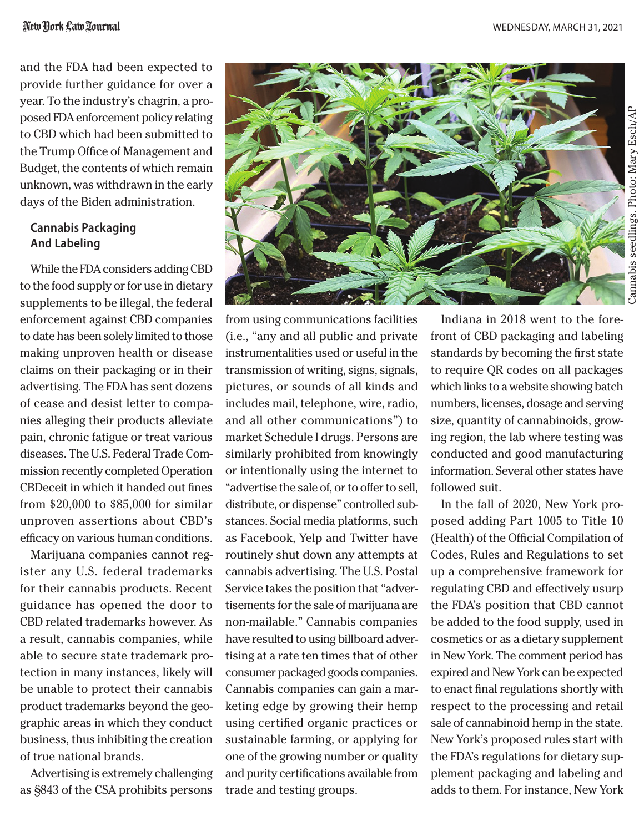and the FDA had been expected to provide further guidance for over a year. To the industry's chagrin, a proposed FDA enforcement policy relating to CBD which had been submitted to the Trump Office of Management and Budget, the contents of which remain unknown, was withdrawn in the early days of the Biden administration.

#### **Cannabis Packaging And Labeling**

While the FDA considers adding CBD to the food supply or for use in dietary supplements to be illegal, the federal enforcement against CBD companies to date has been solely limited to those making unproven health or disease claims on their packaging or in their advertising. The FDA has sent dozens of cease and desist letter to companies alleging their products alleviate pain, chronic fatigue or treat various diseases. The U.S. Federal Trade Commission recently completed Operation CBDeceit in which it handed out fines from \$20,000 to \$85,000 for similar unproven assertions about CBD's efficacy on various human conditions.

Marijuana companies cannot register any U.S. federal trademarks for their cannabis products. Recent guidance has opened the door to CBD related trademarks however. As a result, cannabis companies, while able to secure state trademark protection in many instances, likely will be unable to protect their cannabis product trademarks beyond the geographic areas in which they conduct business, thus inhibiting the creation of true national brands.

Advertising is extremely challenging as §843 of the CSA prohibits persons



instrumentalities used or useful in the transmission of writing, signs, signals, pictures, or sounds of all kinds and includes mail, telephone, wire, radio, and all other communications") to market Schedule I drugs. Persons are similarly prohibited from knowingly or intentionally using the internet to "advertise the sale of, or to offer to sell, distribute, or dispense" controlled substances. Social media platforms, such as Facebook, Yelp and Twitter have routinely shut down any attempts at cannabis advertising. The U.S. Postal Service takes the position that "advertisements for the sale of marijuana are non-mailable." Cannabis companies have resulted to using billboard advertising at a rate ten times that of other consumer packaged goods companies. Cannabis companies can gain a marketing edge by growing their hemp using certified organic practices or sustainable farming, or applying for one of the growing number or quality and purity certifications available from trade and testing groups.

Indiana in 2018 went to the forefront of CBD packaging and labeling standards by becoming the first state to require QR codes on all packages which links to a website showing batch numbers, licenses, dosage and serving size, quantity of cannabinoids, growing region, the lab where testing was conducted and good manufacturing information. Several other states have followed suit.

In the fall of 2020, New York proposed adding Part 1005 to Title 10 (Health) of the Official Compilation of Codes, Rules and Regulations to set up a comprehensive framework for regulating CBD and effectively usurp the FDA's position that CBD cannot be added to the food supply, used in cosmetics or as a dietary supplement in New York. The comment period has expired and New York can be expected to enact final regulations shortly with respect to the processing and retail sale of cannabinoid hemp in the state. New York's proposed rules start with the FDA's regulations for dietary supplement packaging and labeling and adds to them. For instance, New York